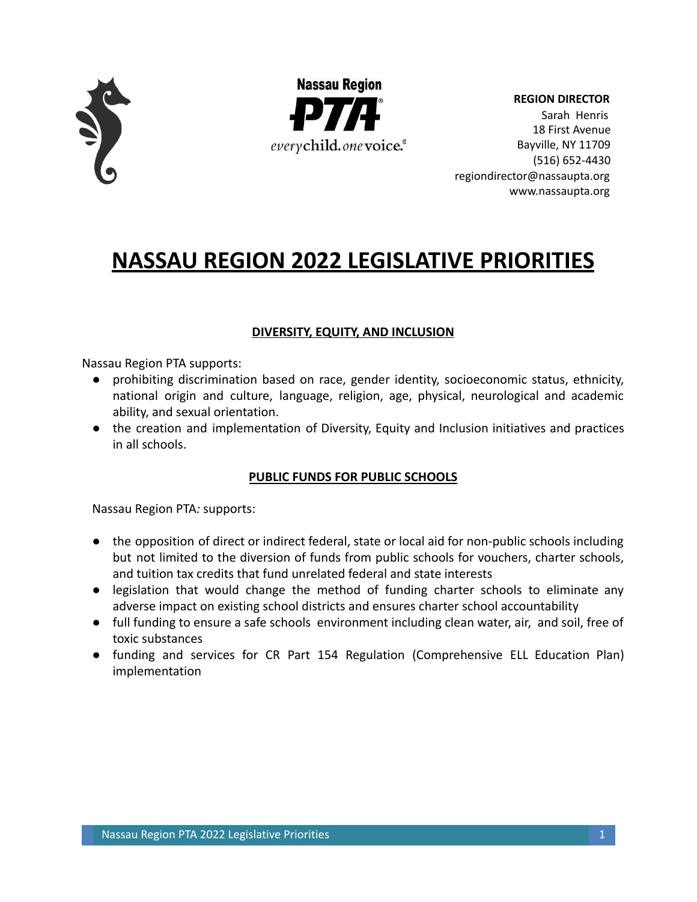



**REGION DIRECTOR** Sarah Henris 18 First Avenue Bayville, NY 11709 (516) 652-4430 regiondirector@nassaupta.org www.nassaupta.org

# **NASSAU REGION 2022 LEGISLATIVE PRIORITIES**

# **DIVERSITY, EQUITY, AND INCLUSION**

Nassau Region PTA supports:

- prohibiting discrimination based on race, gender identity, socioeconomic status, ethnicity, national origin and culture, language, religion, age, physical, neurological and academic ability, and sexual orientation.
- the creation and implementation of Diversity, Equity and Inclusion initiatives and practices in all schools.

# **PUBLIC FUNDS FOR PUBLIC SCHOOLS**

- the opposition of direct or indirect federal, state or local aid for non-public schools including but not limited to the diversion of funds from public schools for vouchers, charter schools, and tuition tax credits that fund unrelated federal and state interests
- legislation that would change the method of funding charter schools to eliminate any adverse impact on existing school districts and ensures charter school accountability
- full funding to ensure a safe schools environment including clean water, air, and soil, free of toxic substances
- funding and services for CR Part 154 Regulation (Comprehensive ELL Education Plan) implementation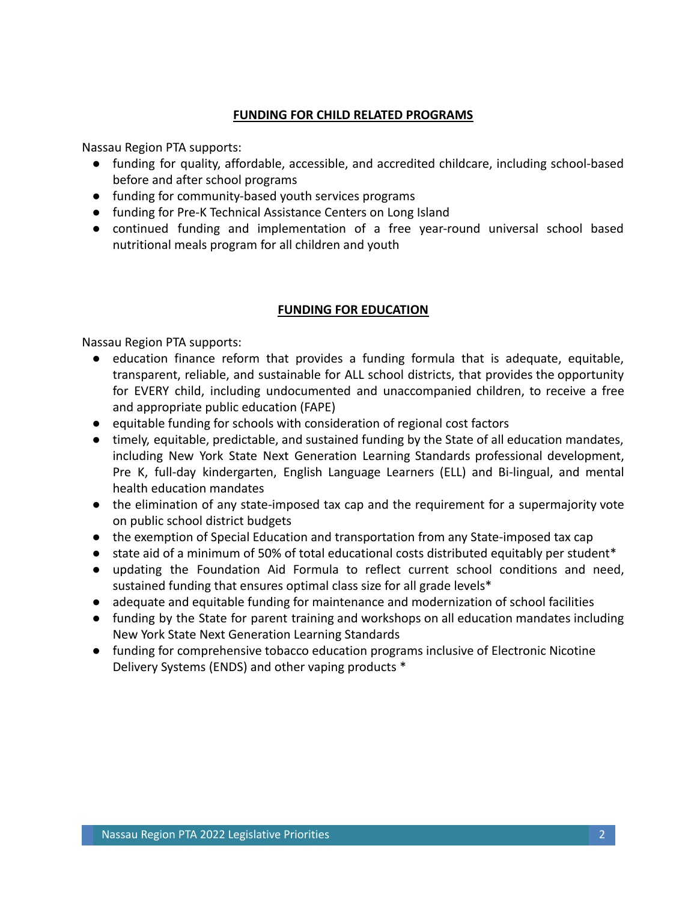#### **FUNDING FOR CHILD RELATED PROGRAMS**

Nassau Region PTA supports:

- funding for quality, affordable, accessible, and accredited childcare, including school-based before and after school programs
- funding for community-based youth services programs
- funding for Pre-K Technical Assistance Centers on Long Island
- continued funding and implementation of a free year-round universal school based nutritional meals program for all children and youth

# **FUNDING FOR EDUCATION**

- education finance reform that provides a funding formula that is adequate, equitable, transparent, reliable, and sustainable for ALL school districts, that provides the opportunity for EVERY child, including undocumented and unaccompanied children, to receive a free and appropriate public education (FAPE)
- equitable funding for schools with consideration of regional cost factors
- timely, equitable, predictable, and sustained funding by the State of all education mandates, including New York State Next Generation Learning Standards professional development, Pre K, full-day kindergarten, English Language Learners (ELL) and Bi-lingual, and mental health education mandates
- the elimination of any state-imposed tax cap and the requirement for a supermajority vote on public school district budgets
- the exemption of Special Education and transportation from any State-imposed tax cap
- state aid of a minimum of 50% of total educational costs distributed equitably per student<sup>\*</sup>
- updating the Foundation Aid Formula to reflect current school conditions and need, sustained funding that ensures optimal class size for all grade levels\*
- adequate and equitable funding for maintenance and modernization of school facilities
- funding by the State for parent training and workshops on all education mandates including New York State Next Generation Learning Standards
- funding for comprehensive tobacco education programs inclusive of Electronic Nicotine Delivery Systems (ENDS) and other vaping products \*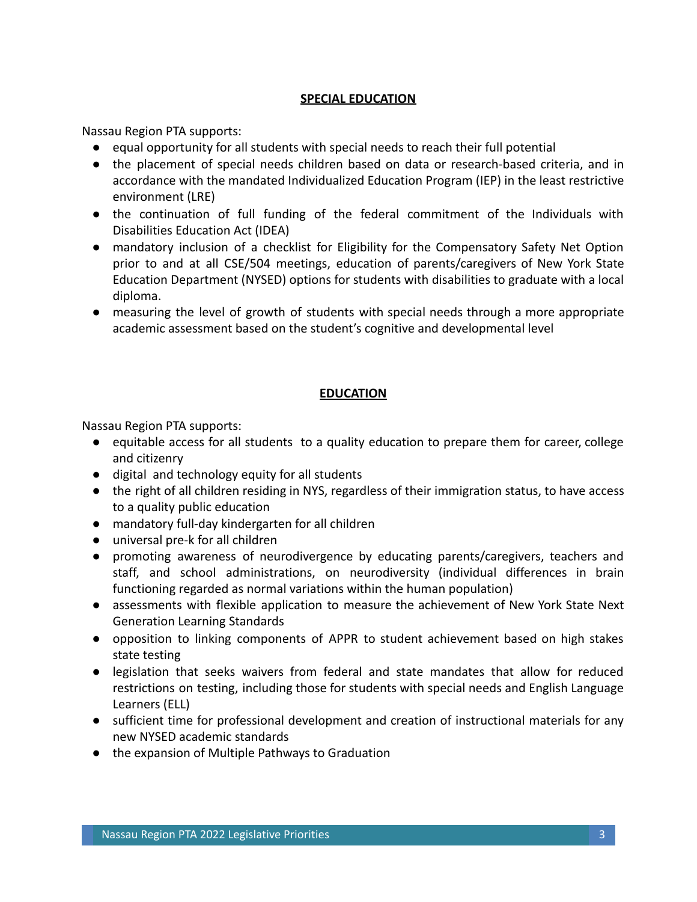#### **SPECIAL EDUCATION**

Nassau Region PTA supports:

- equal opportunity for all students with special needs to reach their full potential
- the placement of special needs children based on data or research-based criteria, and in accordance with the mandated Individualized Education Program (IEP) in the least restrictive environment (LRE)
- the continuation of full funding of the federal commitment of the Individuals with Disabilities Education Act (IDEA)
- mandatory inclusion of a checklist for Eligibility for the Compensatory Safety Net Option prior to and at all CSE/504 meetings, education of parents/caregivers of New York State Education Department (NYSED) options for students with disabilities to graduate with a local diploma.
- measuring the level of growth of students with special needs through a more appropriate academic assessment based on the student's cognitive and developmental level

### **EDUCATION**

- equitable access for all students to a quality education to prepare them for career, college and citizenry
- digital and technology equity for all students
- the right of all children residing in NYS, regardless of their immigration status, to have access to a quality public education
- mandatory full-day kindergarten for all children
- universal pre-k for all children
- promoting awareness of neurodivergence by educating parents/caregivers, teachers and staff, and school administrations, on neurodiversity (individual differences in brain functioning regarded as normal variations within the human population)
- assessments with flexible application to measure the achievement of New York State Next Generation Learning Standards
- opposition to linking components of APPR to student achievement based on high stakes state testing
- legislation that seeks waivers from federal and state mandates that allow for reduced restrictions on testing, including those for students with special needs and English Language Learners (ELL)
- sufficient time for professional development and creation of instructional materials for any new NYSED academic standards
- the expansion of Multiple Pathways to Graduation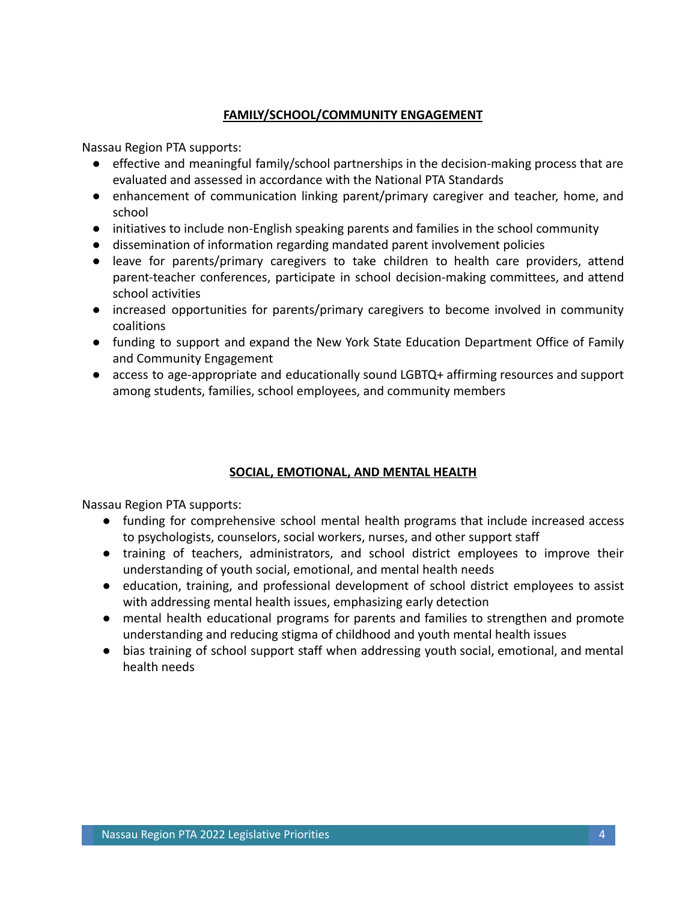### **FAMILY/SCHOOL/COMMUNITY ENGAGEMENT**

Nassau Region PTA supports:

- effective and meaningful family/school partnerships in the decision-making process that are evaluated and assessed in accordance with the National PTA Standards
- enhancement of communication linking parent/primary caregiver and teacher, home, and school
- initiatives to include non-English speaking parents and families in the school community
- dissemination of information regarding mandated parent involvement policies
- leave for parents/primary caregivers to take children to health care providers, attend parent-teacher conferences, participate in school decision-making committees, and attend school activities
- increased opportunities for parents/primary caregivers to become involved in community coalitions
- funding to support and expand the New York State Education Department Office of Family and Community Engagement
- access to age-appropriate and educationally sound LGBTQ+ affirming resources and support among students, families, school employees, and community members

# **SOCIAL, EMOTIONAL, AND MENTAL HEALTH**

- funding for comprehensive school mental health programs that include increased access to psychologists, counselors, social workers, nurses, and other support staff
- training of teachers, administrators, and school district employees to improve their understanding of youth social, emotional, and mental health needs
- education, training, and professional development of school district employees to assist with addressing mental health issues, emphasizing early detection
- mental health educational programs for parents and families to strengthen and promote understanding and reducing stigma of childhood and youth mental health issues
- bias training of school support staff when addressing youth social, emotional, and mental health needs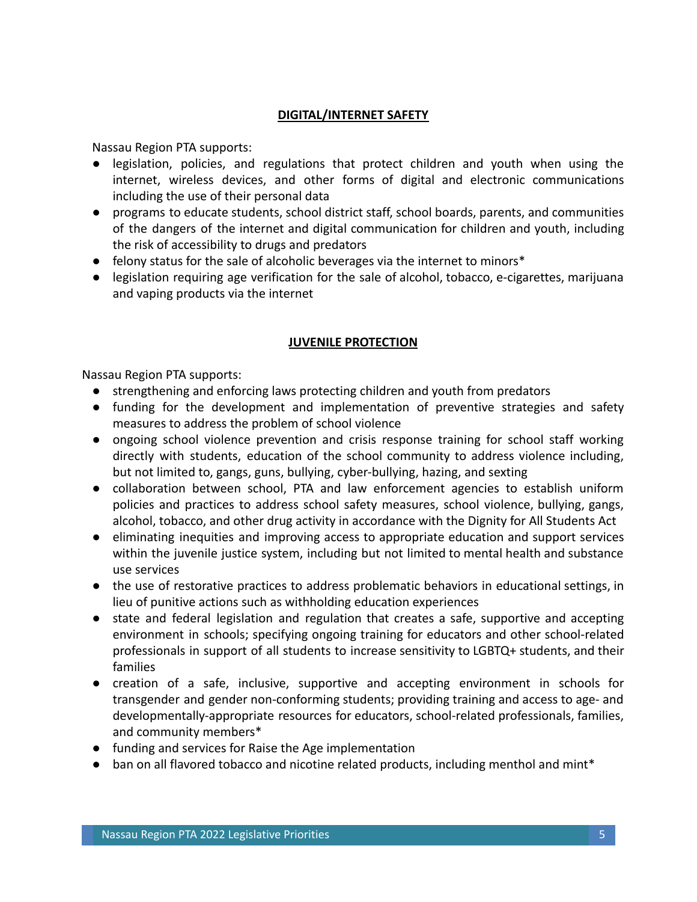## **DIGITAL/INTERNET SAFETY**

Nassau Region PTA supports:

- legislation, policies, and regulations that protect children and youth when using the internet, wireless devices, and other forms of digital and electronic communications including the use of their personal data
- programs to educate students, school district staff, school boards, parents, and communities of the dangers of the internet and digital communication for children and youth, including the risk of accessibility to drugs and predators
- felony status for the sale of alcoholic beverages via the internet to minors<sup>\*</sup>
- legislation requiring age verification for the sale of alcohol, tobacco, e-cigarettes, marijuana and vaping products via the internet

### **JUVENILE PROTECTION**

- strengthening and enforcing laws protecting children and youth from predators
- funding for the development and implementation of preventive strategies and safety measures to address the problem of school violence
- ongoing school violence prevention and crisis response training for school staff working directly with students, education of the school community to address violence including, but not limited to, gangs, guns, bullying, cyber-bullying, hazing, and sexting
- collaboration between school, PTA and law enforcement agencies to establish uniform policies and practices to address school safety measures, school violence, bullying, gangs, alcohol, tobacco, and other drug activity in accordance with the Dignity for All Students Act
- eliminating inequities and improving access to appropriate education and support services within the juvenile justice system, including but not limited to mental health and substance use services
- the use of restorative practices to address problematic behaviors in educational settings, in lieu of punitive actions such as withholding education experiences
- state and federal legislation and regulation that creates a safe, supportive and accepting environment in schools; specifying ongoing training for educators and other school-related professionals in support of all students to increase sensitivity to LGBTQ+ students, and their families
- creation of a safe, inclusive, supportive and accepting environment in schools for transgender and gender non-conforming students; providing training and access to age- and developmentally-appropriate resources for educators, school-related professionals, families, and community members\*
- funding and services for Raise the Age implementation
- ban on all flavored tobacco and nicotine related products, including menthol and mint\*